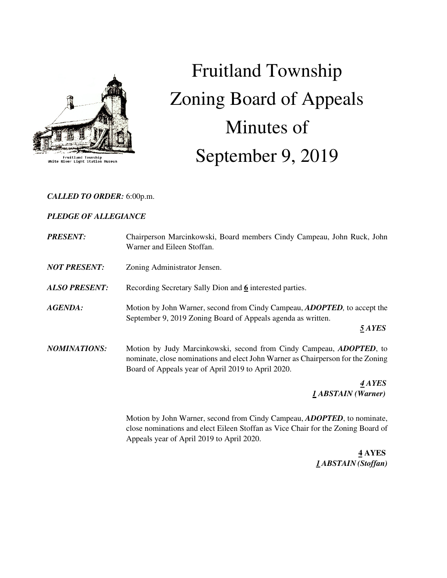

Fruitland Township<br>White River Light Station Muse

# Fruitland Township Zoning Board of Appeals Minutes of September 9, 2019

### *CALLED TO ORDER:* 6:00p.m.

## *PLEDGE OF ALLEGIANCE*

| <b>PRESENT:</b>      | Chairperson Marcinkowski, Board members Cindy Campeau, John Ruck, John<br>Warner and Eileen Stoffan.                                                                                                                 |
|----------------------|----------------------------------------------------------------------------------------------------------------------------------------------------------------------------------------------------------------------|
| <b>NOT PRESENT:</b>  | Zoning Administrator Jensen.                                                                                                                                                                                         |
| <b>ALSO PRESENT:</b> | Recording Secretary Sally Dion and 6 interested parties.                                                                                                                                                             |
| <b>AGENDA:</b>       | Motion by John Warner, second from Cindy Campeau, <i>ADOPTED</i> , to accept the<br>September 9, 2019 Zoning Board of Appeals agenda as written.<br>5 AYES                                                           |
| <b>NOMINATIONS:</b>  | Motion by Judy Marcinkowski, second from Cindy Campeau, <i>ADOPTED</i> , to<br>nominate, close nominations and elect John Warner as Chairperson for the Zoning<br>Board of Appeals year of April 2019 to April 2020. |
|                      | 4 AYES<br><b>1 ABSTAIN</b> (Warner)                                                                                                                                                                                  |

 Motion by John Warner, second from Cindy Campeau, *ADOPTED*, to nominate, close nominations and elect Eileen Stoffan as Vice Chair for the Zoning Board of Appeals year of April 2019 to April 2020.

 **4 AYES**   *1 ABSTAIN (Stoffan)*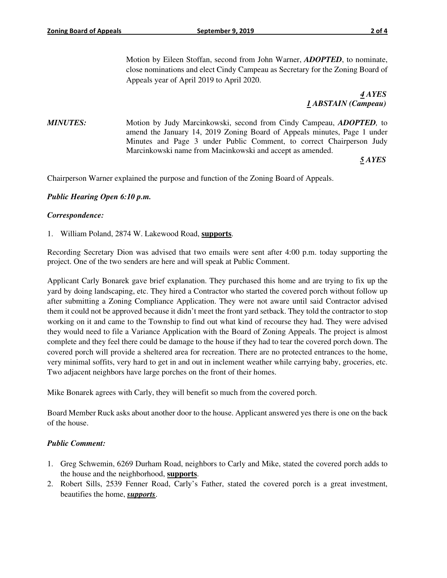Motion by Eileen Stoffan, second from John Warner, *ADOPTED*, to nominate, close nominations and elect Cindy Campeau as Secretary for the Zoning Board of Appeals year of April 2019 to April 2020.

 *4 AYES 1 ABSTAIN (Campeau)* 

*MINUTES:* Motion by Judy Marcinkowski, second from Cindy Campeau, *ADOPTED*, to amend the January 14, 2019 Zoning Board of Appeals minutes, Page 1 under Minutes and Page 3 under Public Comment, to correct Chairperson Judy Marcinkowski name from Macinkowski and accept as amended.

*5 AYES* 

Chairperson Warner explained the purpose and function of the Zoning Board of Appeals.

#### *Public Hearing Open 6:10 p.m.*

#### *Correspondence:*

1. William Poland, 2874 W. Lakewood Road, **supports**.

Recording Secretary Dion was advised that two emails were sent after 4:00 p.m. today supporting the project. One of the two senders are here and will speak at Public Comment.

Applicant Carly Bonarek gave brief explanation. They purchased this home and are trying to fix up the yard by doing landscaping, etc. They hired a Contractor who started the covered porch without follow up after submitting a Zoning Compliance Application. They were not aware until said Contractor advised them it could not be approved because it didn't meet the front yard setback. They told the contractor to stop working on it and came to the Township to find out what kind of recourse they had. They were advised they would need to file a Variance Application with the Board of Zoning Appeals. The project is almost complete and they feel there could be damage to the house if they had to tear the covered porch down. The covered porch will provide a sheltered area for recreation. There are no protected entrances to the home, very minimal soffits, very hard to get in and out in inclement weather while carrying baby, groceries, etc. Two adjacent neighbors have large porches on the front of their homes.

Mike Bonarek agrees with Carly, they will benefit so much from the covered porch.

Board Member Ruck asks about another door to the house. Applicant answered yes there is one on the back of the house.

#### *Public Comment:*

- 1. Greg Schwemin, 6269 Durham Road, neighbors to Carly and Mike, stated the covered porch adds to the house and the neighborhood, **supports**.
- 2. Robert Sills, 2539 Fenner Road, Carly's Father, stated the covered porch is a great investment, beautifies the home, *supports*.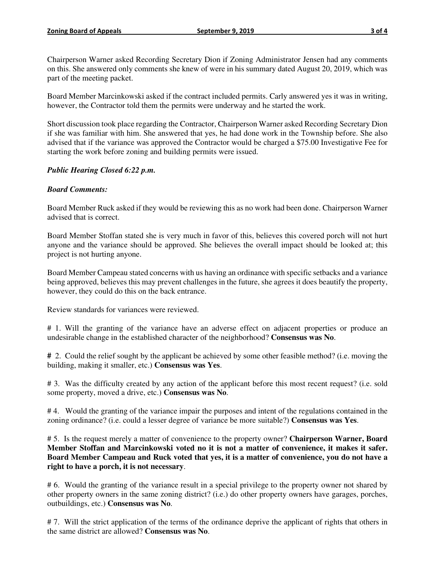Chairperson Warner asked Recording Secretary Dion if Zoning Administrator Jensen had any comments on this. She answered only comments she knew of were in his summary dated August 20, 2019, which was part of the meeting packet.

Board Member Marcinkowski asked if the contract included permits. Carly answered yes it was in writing, however, the Contractor told them the permits were underway and he started the work.

Short discussion took place regarding the Contractor, Chairperson Warner asked Recording Secretary Dion if she was familiar with him. She answered that yes, he had done work in the Township before. She also advised that if the variance was approved the Contractor would be charged a \$75.00 Investigative Fee for starting the work before zoning and building permits were issued.

#### *Public Hearing Closed 6:22 p.m.*

#### *Board Comments:*

Board Member Ruck asked if they would be reviewing this as no work had been done. Chairperson Warner advised that is correct.

Board Member Stoffan stated she is very much in favor of this, believes this covered porch will not hurt anyone and the variance should be approved. She believes the overall impact should be looked at; this project is not hurting anyone.

Board Member Campeau stated concerns with us having an ordinance with specific setbacks and a variance being approved, believes this may prevent challenges in the future, she agrees it does beautify the property, however, they could do this on the back entrance.

Review standards for variances were reviewed.

# 1. Will the granting of the variance have an adverse effect on adjacent properties or produce an undesirable change in the established character of the neighborhood? **Consensus was No**.

**#** 2. Could the relief sought by the applicant be achieved by some other feasible method? (i.e. moving the building, making it smaller, etc.) **Consensus was Yes**.

# 3. Was the difficulty created by any action of the applicant before this most recent request? (i.e. sold some property, moved a drive, etc.) **Consensus was No**.

# 4. Would the granting of the variance impair the purposes and intent of the regulations contained in the zoning ordinance? (i.e. could a lesser degree of variance be more suitable?) **Consensus was Yes**.

# 5. Is the request merely a matter of convenience to the property owner? **Chairperson Warner, Board Member Stoffan and Marcinkowski voted no it is not a matter of convenience, it makes it safer. Board Member Campeau and Ruck voted that yes, it is a matter of convenience, you do not have a right to have a porch, it is not necessary**.

# 6. Would the granting of the variance result in a special privilege to the property owner not shared by other property owners in the same zoning district? (i.e.) do other property owners have garages, porches, outbuildings, etc.) **Consensus was No**.

# 7. Will the strict application of the terms of the ordinance deprive the applicant of rights that others in the same district are allowed? **Consensus was No**.